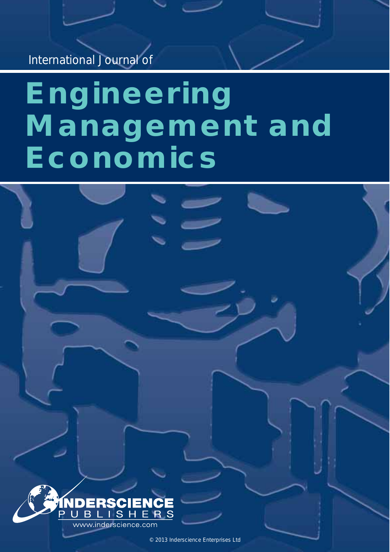*International Journal of* 

# **Engineering Management and Economics**



© 2013 Inderscience Enterprises Ltd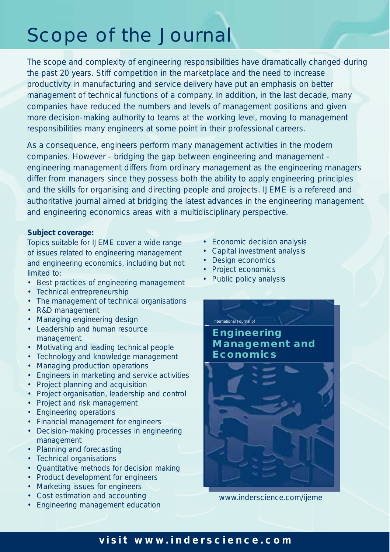## Scope of the Journal

*The scope and complexity of engineering responsibilities have dramatically changed during the past 20 years. Stiff competition in the marketplace and the need to increase productivity in manufacturing and service delivery have put an emphasis on better management of technical functions of a company. In addition, in the last decade, many companies have reduced the numbers and levels of management positions and given more decision-making authority to teams at the working level, moving to management responsibilities many engineers at some point in their professional careers.*

*As a consequence, engineers perform many management activities in the modern companies. However - bridging the gap between engineering and management engineering management differs from ordinary management as the engineering managers differ from managers since they possess both the ability to apply engineering principles and the skills for organising and directing people and projects. IJEME is a refereed and authoritative journal aimed at bridging the latest advances in the engineering management and engineering economics areas with a multidisciplinary perspective.*

#### **Subject coverage:**

*Topics suitable for IJEME cover a wide range of issues related to engineering management and engineering economics, including but not limited to:*

- Best practices of engineering management
- Technical entrepreneurship
- The management of technical organisations
- R&D management
- Managing engineering design
- Leadership and human resource management
- Motivating and leading technical people
- Technology and knowledge management
- Managing production operations
- Engineers in marketing and service activities
- Project planning and acquisition
- Project organisation, leadership and control
- Project and risk management
- Engineering operations
- Financial management for engineers
- Decision-making processes in engineering management
- Planning and forecasting
- Technical organisations
- Quantitative methods for decision making
- Product development for engineers
- Marketing issues for engineers
- Cost estimation and accounting
- Engineering management education
- Economic decision analysis
- Capital investment analysis
- Design economics
- Project economics
- Public policy analysis



www.inderscience.com/ijeme

#### *visit* **www.inderscience.com**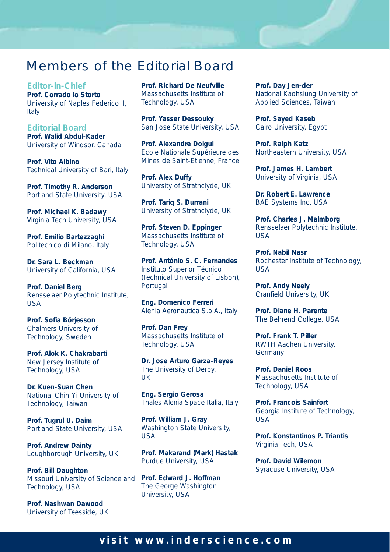## Members of the Editorial Board

**Editor-in-Chief Prof. Corrado lo Storto** University of Naples Federico II, Italy

**Editorial Board Prof. Walid Abdul-Kader** University of Windsor, Canada

**Prof. Vito Albino** Technical University of Bari, Italy

**Prof. Timothy R. Anderson** Portland State University, USA

**Prof. Michael K. Badawy** Virginia Tech University, USA

**Prof. Emilio Bartezzaghi** Politecnico di Milano, Italy

**Dr. Sara L. Beckman** University of California, USA

**Prof. Daniel Berg** Rensselaer Polytechnic Institute, USA

**Prof. Sofia Börjesson** Chalmers University of Technology, Sweden

**Prof. Alok K. Chakrabarti** New Jersey Institute of Technology, USA

**Dr. Kuen-Suan Chen** National Chin-Yi University of Technology, Taiwan

**Prof. Tugrul U. Daim** Portland State University, USA

**Prof. Andrew Dainty** Loughborough University, UK

**Prof. Bill Daughton** Missouri University of Science and Technology, USA

**Prof. Nashwan Dawood** University of Teesside, UK **Prof. Richard De Neufville** Massachusetts Institute of Technology, USA

**Prof. Yasser Dessouky** San Jose State University, USA

**Prof. Alexandre Dolgui** Ecole Nationale Supérieure des Mines de Saint-Etienne, France

**Prof. Alex Duffy** University of Strathclyde, UK

**Prof. Tariq S. Durrani** University of Strathclyde, UK

**Prof. Steven D. Eppinger** Massachusetts Institute of Technology, USA

**Prof. António S. C. Fernandes** Instituto Superior Técnico (Technical University of Lisbon), Portugal

**Eng. Domenico Ferreri** Alenia Aeronautica S.p.A., Italy

**Prof. Dan Frey** Massachusetts Institute of Technology, USA

**Dr. Jose Arturo Garza-Reyes** The University of Derby, UK

**Eng. Sergio Gerosa** Thales Alenia Space Italia, Italy

**Prof. William J. Gray** Washington State University, USA

**Prof. Makarand (Mark) Hastak** Purdue University, USA

**Prof. Edward J. Hoffman** The George Washington University, USA

**Prof. Day Jen-der** National Kaohsiung University of Applied Sciences, Taiwan

**Prof. Sayed Kaseb** Cairo University, Egypt

**Prof. Ralph Katz** Northeastern University, USA

**Prof. James H. Lambert** University of Virginia, USA

**Dr. Robert E. Lawrence** BAE Systems Inc, USA

**Prof. Charles J. Malmborg** Rensselaer Polytechnic Institute, USA

**Prof. Nabil Nasr** Rochester Institute of Technology, USA

**Prof. Andy Neely** Cranfield University, UK

**Prof. Diane H. Parente** The Behrend College, USA

**Prof. Frank T. Piller** RWTH Aachen University, **Germany** 

**Prof. Daniel Roos** Massachusetts Institute of Technology, USA

**Prof. Francois Sainfort** Georgia Institute of Technology, USA

**Prof. Konstantinos P. Triantis** Virginia Tech, USA

**Prof. David Wilemon** Syracuse University, USA

#### *visit* **www.inderscience.com**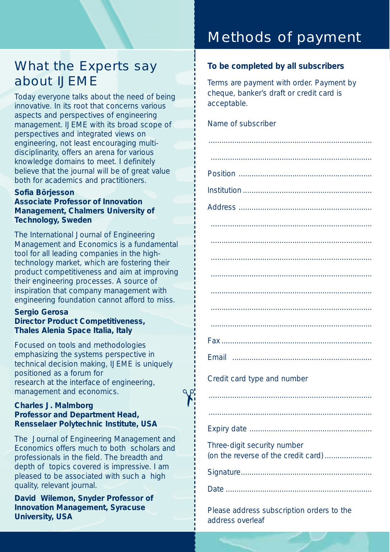## What the Experts say about IJEME

*Today everyone talks about the need of being innovative. In its root that concerns various aspects and perspectives of engineering management. IJEME with its broad scope of perspectives and integrated views on engineering, not least encouraging multidisciplinarity, offers an arena for various knowledge domains to meet. I definitely believe that the journal will be of great value both for academics and practitioners.*

#### **Sofia Börjesson**

**Associate Professor of Innovation Management, Chalmers University of Technology, Sweden**

*The International Journal of Engineering Management and Economics is a fundamental tool for all leading companies in the hightechnology market, which are fostering their product competitiveness and aim at improving their engineering processes. A source of inspiration that company management with engineering foundation cannot afford to miss.*

#### **Sergio Gerosa Director Product Competitiveness, Thales Alenia Space Italia, Italy**

*Focused on tools and methodologies emphasizing the systems perspective in technical decision making, IJEME is uniquely positioned as a forum for research at the interface of engineering, management and economics.*

 $\gamma$ 

#### **Charles J. Malmborg Professor and Department Head, Rensselaer Polytechnic Institute, USA**

*The Journal of Engineering Management and Economics offers much to both scholars and professionals in the field. The breadth and depth of topics covered is impressive. I am pleased to be associated with such a high quality, relevant journal.*

**David Wilemon, Snyder Professor of Innovation Management, Syracuse University, USA**

## Methods of payment

#### *To be completed by all subscribers*

Terms are payment with order. Payment by cheque, banker's draft or credit card is acceptable.

| Name of subscriber |  |  |
|--------------------|--|--|
|                    |  |  |

| Email<br>$\begin{minipage}{0.5\textwidth} \begin{tabular}{ c c c c } \hline & \multicolumn{1}{ c }{0.5\textwidth} \begin{tabular}{ c c c } \hline & \multicolumn{1}{ c }{0.5\textwidth} \begin{tabular}{ c c c } \hline & \multicolumn{1}{ c }{0.5\textwidth} \begin{tabular}{ c c c } \hline & \multicolumn{1}{ c }{0.5\textwidth} \begin{tabular}{ c c c } \hline & \multicolumn{1}{ c }{0.5\textwidth} \begin{tabular}{ c c c } \hline & \multicolumn{1$ |
|-------------------------------------------------------------------------------------------------------------------------------------------------------------------------------------------------------------------------------------------------------------------------------------------------------------------------------------------------------------------------------------------------------------------------------------------------------------|
| Credit card type and number                                                                                                                                                                                                                                                                                                                                                                                                                                 |
|                                                                                                                                                                                                                                                                                                                                                                                                                                                             |
|                                                                                                                                                                                                                                                                                                                                                                                                                                                             |
|                                                                                                                                                                                                                                                                                                                                                                                                                                                             |
| Three-digit security number<br>(on the reverse of the credit card)                                                                                                                                                                                                                                                                                                                                                                                          |
|                                                                                                                                                                                                                                                                                                                                                                                                                                                             |
|                                                                                                                                                                                                                                                                                                                                                                                                                                                             |
|                                                                                                                                                                                                                                                                                                                                                                                                                                                             |

*Please address subscription orders to the address overleaf*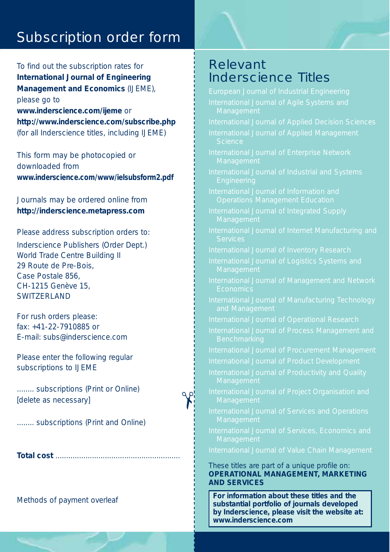## Subscription order form

To find out the subscription rates for *International Journal of Engineering Management and Economics* (IJEME), please go to *www.inderscience.com/ijeme* or *http://www.inderscience.com/subscribe.php* (for all Inderscience titles, including IJEME)

This form may be photocopied or downloaded from *www.inderscience.com/www/ielsubsform2.pdf*

Journals may be ordered online from *http://inderscience.metapress.com*

#### *Please address subscription orders to:*

Inderscience Publishers (Order Dept.) World Trade Centre Building II 29 Route de Pre-Bois, Case Postale 856, CH-1215 Genève 15, SWITZERI AND

For rush orders please: fax: +41-22-7910885 or E-mail: subs@inderscience.com

Please enter the following regular subscriptions to IJEME

........ subscriptions (Print or Online) [delete as necessary]

 $\gamma$ 

........ subscriptions (Print and Online)

**Total cost** ..........................................................

*Methods of payment overleaf* 

### Relevant Inderscience Titles

*International Journal of Services, Economics and*  These titles are part of a unique profile on: **OPERATIONAL MANAGEMENT, MARKETING AND SERVICES** *For information about these titles and the substantial portfolio of journals developed*

*by Inderscience, please visit the website at:*

*www.inderscience.com*